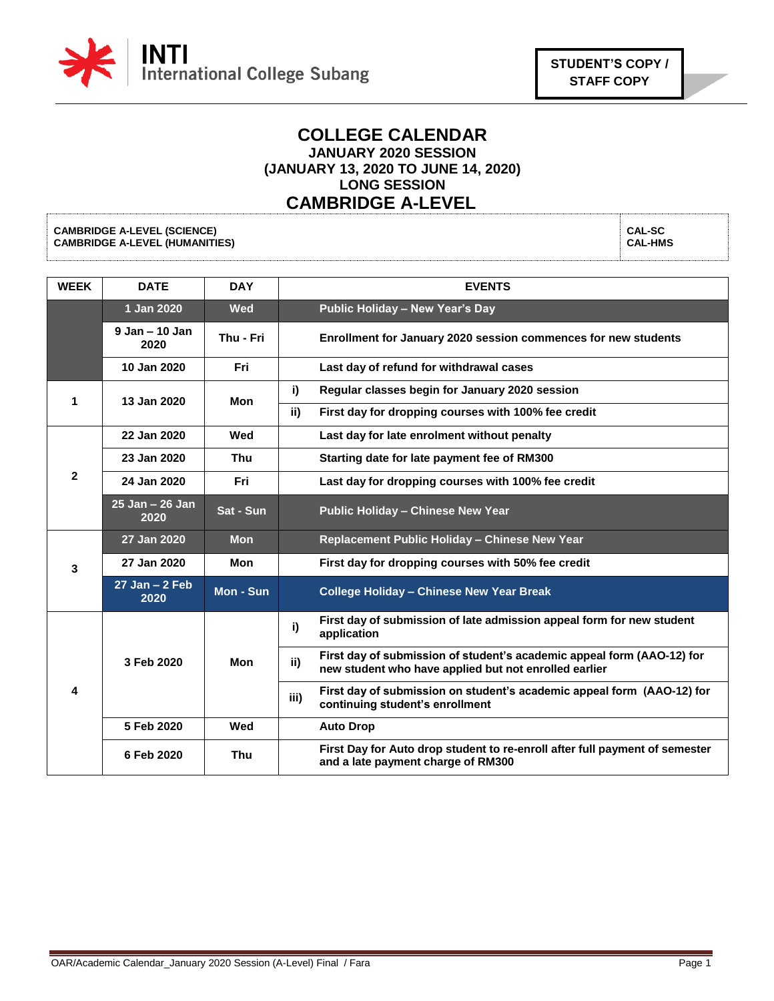

## **COLLEGE CALENDAR JANUARY 2020 SESSION (JANUARY 13, 2020 TO JUNE 14, 2020) LONG SESSION CAMBRIDGE A-LEVEL**

**CAMBRIDGE A-LEVEL (SCIENCE) CAMBRIDGE A-LEVEL (HUMANITIES)**

**CAL-SC CAL-HMS**

| <b>WEEK</b>    | <b>DATE</b>                          | <b>DAY</b> | <b>EVENTS</b>                                                                                                                          |
|----------------|--------------------------------------|------------|----------------------------------------------------------------------------------------------------------------------------------------|
|                | 1 Jan 2020                           | <b>Wed</b> | Public Holiday - New Year's Day                                                                                                        |
|                | $9$ Jan $-$ 10 Jan<br>2020           | Thu - Fri  | Enrollment for January 2020 session commences for new students                                                                         |
|                | 10 Jan 2020                          | Fri        | Last day of refund for withdrawal cases                                                                                                |
| 1              | 13 Jan 2020                          | Mon        | i)<br>Regular classes begin for January 2020 session                                                                                   |
|                |                                      |            | ii)<br>First day for dropping courses with 100% fee credit                                                                             |
| $\overline{2}$ | 22 Jan 2020                          | Wed        | Last day for late enrolment without penalty                                                                                            |
|                | 23 Jan 2020                          | <b>Thu</b> | Starting date for late payment fee of RM300                                                                                            |
|                | 24 Jan 2020                          | <b>Fri</b> | Last day for dropping courses with 100% fee credit                                                                                     |
|                | $\overline{25}$ Jan – 26 Jan<br>2020 | Sat - Sun  | <b>Public Holiday - Chinese New Year</b>                                                                                               |
| 3              | 27 Jan 2020                          | <b>Mon</b> | Replacement Public Holiday - Chinese New Year                                                                                          |
|                | 27 Jan 2020                          | Mon        | First day for dropping courses with 50% fee credit                                                                                     |
|                | $27$ Jan $-2$ Feb<br>2020            | Mon - Sun  | <b>College Holiday - Chinese New Year Break</b>                                                                                        |
| 4              | 3 Feb 2020                           | <b>Mon</b> | First day of submission of late admission appeal form for new student<br>i)<br>application                                             |
|                |                                      |            | First day of submission of student's academic appeal form (AAO-12) for<br>ii)<br>new student who have applied but not enrolled earlier |
|                |                                      |            | First day of submission on student's academic appeal form (AAO-12) for<br>iii)<br>continuing student's enrollment                      |
|                | 5 Feb 2020                           | Wed        | <b>Auto Drop</b>                                                                                                                       |
|                | 6 Feb 2020                           | Thu        | First Day for Auto drop student to re-enroll after full payment of semester<br>and a late payment charge of RM300                      |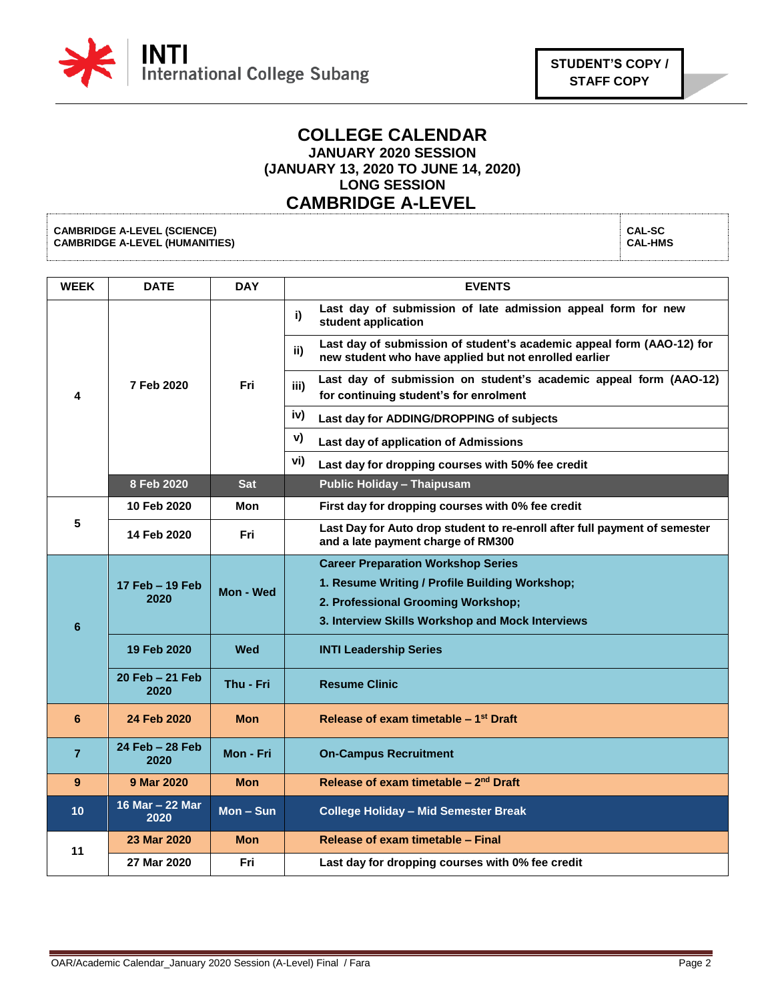

## **COLLEGE CALENDAR JANUARY 2020 SESSION (JANUARY 13, 2020 TO JUNE 14, 2020) LONG SESSION CAMBRIDGE A-LEVEL**

**CAMBRIDGE A-LEVEL (SCIENCE) CAMBRIDGE A-LEVEL (HUMANITIES)**

**CAL-SC CAL-HMS**

| <b>WEEK</b>     | <b>DATE</b>             | <b>DAY</b>  | <b>EVENTS</b>                                                                                                                                                                         |
|-----------------|-------------------------|-------------|---------------------------------------------------------------------------------------------------------------------------------------------------------------------------------------|
| 4               | 7 Feb 2020              | Fri         | Last day of submission of late admission appeal form for new<br>i)<br>student application                                                                                             |
|                 |                         |             | Last day of submission of student's academic appeal form (AAO-12) for<br>ii)<br>new student who have applied but not enrolled earlier                                                 |
|                 |                         |             | Last day of submission on student's academic appeal form (AAO-12)<br>iii)<br>for continuing student's for enrolment                                                                   |
|                 |                         |             | iv)<br>Last day for ADDING/DROPPING of subjects                                                                                                                                       |
|                 |                         |             | V)<br>Last day of application of Admissions                                                                                                                                           |
|                 |                         |             | vi)<br>Last day for dropping courses with 50% fee credit                                                                                                                              |
|                 | 8 Feb 2020              | <b>Sat</b>  | <b>Public Holiday - Thaipusam</b>                                                                                                                                                     |
| 5               | 10 Feb 2020             | Mon         | First day for dropping courses with 0% fee credit                                                                                                                                     |
|                 | 14 Feb 2020             | Fri         | Last Day for Auto drop student to re-enroll after full payment of semester<br>and a late payment charge of RM300                                                                      |
| $6\phantom{1}6$ | 17 Feb - 19 Feb<br>2020 | Mon - Wed   | <b>Career Preparation Workshop Series</b><br>1. Resume Writing / Profile Building Workshop;<br>2. Professional Grooming Workshop;<br>3. Interview Skills Workshop and Mock Interviews |
|                 | 19 Feb 2020             | Wed         | <b>INTI Leadership Series</b>                                                                                                                                                         |
|                 | 20 Feb - 21 Feb<br>2020 | Thu - Fri   | <b>Resume Clinic</b>                                                                                                                                                                  |
| 6               | 24 Feb 2020             | <b>Mon</b>  | Release of exam timetable – 1 <sup>st</sup> Draft                                                                                                                                     |
| $\overline{7}$  | 24 Feb - 28 Feb<br>2020 | Mon - Fri   | <b>On-Campus Recruitment</b>                                                                                                                                                          |
| 9               | 9 Mar 2020              | <b>Mon</b>  | Release of exam timetable - 2 <sup>nd</sup> Draft                                                                                                                                     |
| 10              | 16 Mar - 22 Mar<br>2020 | $Mon - Sun$ | <b>College Holiday - Mid Semester Break</b>                                                                                                                                           |
| 11              | 23 Mar 2020             | <b>Mon</b>  | Release of exam timetable - Final                                                                                                                                                     |
|                 | 27 Mar 2020             | Fri         | Last day for dropping courses with 0% fee credit                                                                                                                                      |